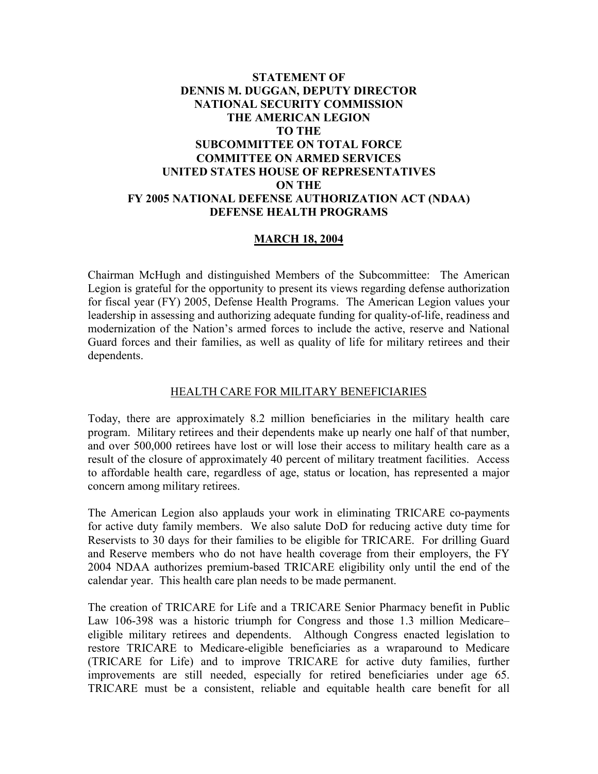## **STATEMENT OF DENNIS M. DUGGAN, DEPUTY DIRECTOR NATIONAL SECURITY COMMISSION THE AMERICAN LEGION TO THE SUBCOMMITTEE ON TOTAL FORCE COMMITTEE ON ARMED SERVICES UNITED STATES HOUSE OF REPRESENTATIVES ON THE FY 2005 NATIONAL DEFENSE AUTHORIZATION ACT (NDAA) DEFENSE HEALTH PROGRAMS**

## **MARCH 18, 2004**

Chairman McHugh and distinguished Members of the Subcommittee: The American Legion is grateful for the opportunity to present its views regarding defense authorization for fiscal year (FY) 2005, Defense Health Programs. The American Legion values your leadership in assessing and authorizing adequate funding for quality-of-life, readiness and modernization of the Nation's armed forces to include the active, reserve and National Guard forces and their families, as well as quality of life for military retirees and their dependents.

## HEALTH CARE FOR MILITARY BENEFICIARIES

Today, there are approximately 8.2 million beneficiaries in the military health care program. Military retirees and their dependents make up nearly one half of that number, and over 500,000 retirees have lost or will lose their access to military health care as a result of the closure of approximately 40 percent of military treatment facilities. Access to affordable health care, regardless of age, status or location, has represented a major concern among military retirees.

The American Legion also applauds your work in eliminating TRICARE co-payments for active duty family members. We also salute DoD for reducing active duty time for Reservists to 30 days for their families to be eligible for TRICARE. For drilling Guard and Reserve members who do not have health coverage from their employers, the FY 2004 NDAA authorizes premium-based TRICARE eligibility only until the end of the calendar year. This health care plan needs to be made permanent.

The creation of TRICARE for Life and a TRICARE Senior Pharmacy benefit in Public Law 106-398 was a historic triumph for Congress and those 1.3 million Medicare– eligible military retirees and dependents. Although Congress enacted legislation to restore TRICARE to Medicare-eligible beneficiaries as a wraparound to Medicare (TRICARE for Life) and to improve TRICARE for active duty families, further improvements are still needed, especially for retired beneficiaries under age 65. TRICARE must be a consistent, reliable and equitable health care benefit for all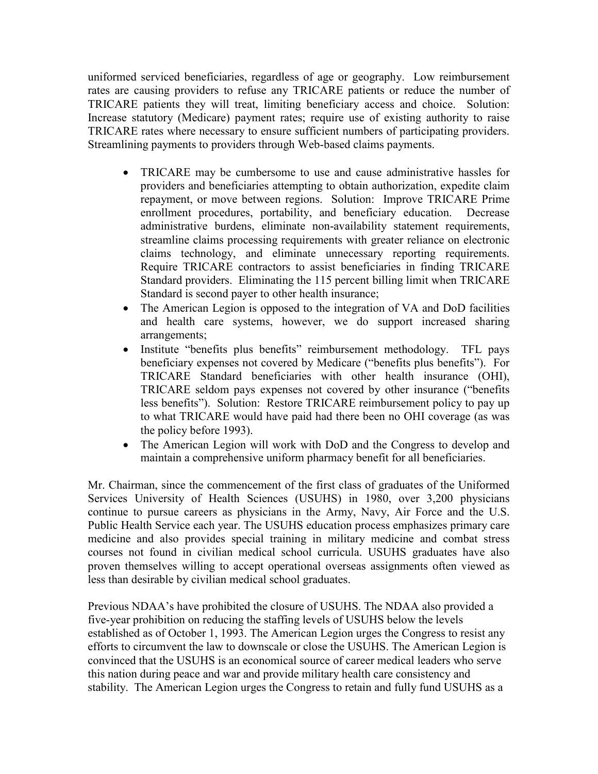uniformed serviced beneficiaries, regardless of age or geography. Low reimbursement rates are causing providers to refuse any TRICARE patients or reduce the number of TRICARE patients they will treat, limiting beneficiary access and choice. Solution: Increase statutory (Medicare) payment rates; require use of existing authority to raise TRICARE rates where necessary to ensure sufficient numbers of participating providers. Streamlining payments to providers through Web-based claims payments.

- TRICARE may be cumbersome to use and cause administrative hassles for providers and beneficiaries attempting to obtain authorization, expedite claim repayment, or move between regions. Solution: Improve TRICARE Prime enrollment procedures, portability, and beneficiary education. Decrease administrative burdens, eliminate non-availability statement requirements, streamline claims processing requirements with greater reliance on electronic claims technology, and eliminate unnecessary reporting requirements. Require TRICARE contractors to assist beneficiaries in finding TRICARE Standard providers. Eliminating the 115 percent billing limit when TRICARE Standard is second payer to other health insurance;
- The American Legion is opposed to the integration of VA and DoD facilities and health care systems, however, we do support increased sharing arrangements;
- Institute "benefits plus benefits" reimbursement methodology. TFL pays beneficiary expenses not covered by Medicare ("benefits plus benefits"). For TRICARE Standard beneficiaries with other health insurance (OHI), TRICARE seldom pays expenses not covered by other insurance ("benefits less benefits"). Solution: Restore TRICARE reimbursement policy to pay up to what TRICARE would have paid had there been no OHI coverage (as was the policy before 1993).
- The American Legion will work with DoD and the Congress to develop and maintain a comprehensive uniform pharmacy benefit for all beneficiaries.

Mr. Chairman, since the commencement of the first class of graduates of the Uniformed Services University of Health Sciences (USUHS) in 1980, over 3,200 physicians continue to pursue careers as physicians in the Army, Navy, Air Force and the U.S. Public Health Service each year. The USUHS education process emphasizes primary care medicine and also provides special training in military medicine and combat stress courses not found in civilian medical school curricula. USUHS graduates have also proven themselves willing to accept operational overseas assignments often viewed as less than desirable by civilian medical school graduates.

Previous NDAA's have prohibited the closure of USUHS. The NDAA also provided a five-year prohibition on reducing the staffing levels of USUHS below the levels established as of October 1, 1993. The American Legion urges the Congress to resist any efforts to circumvent the law to downscale or close the USUHS. The American Legion is convinced that the USUHS is an economical source of career medical leaders who serve this nation during peace and war and provide military health care consistency and stability. The American Legion urges the Congress to retain and fully fund USUHS as a